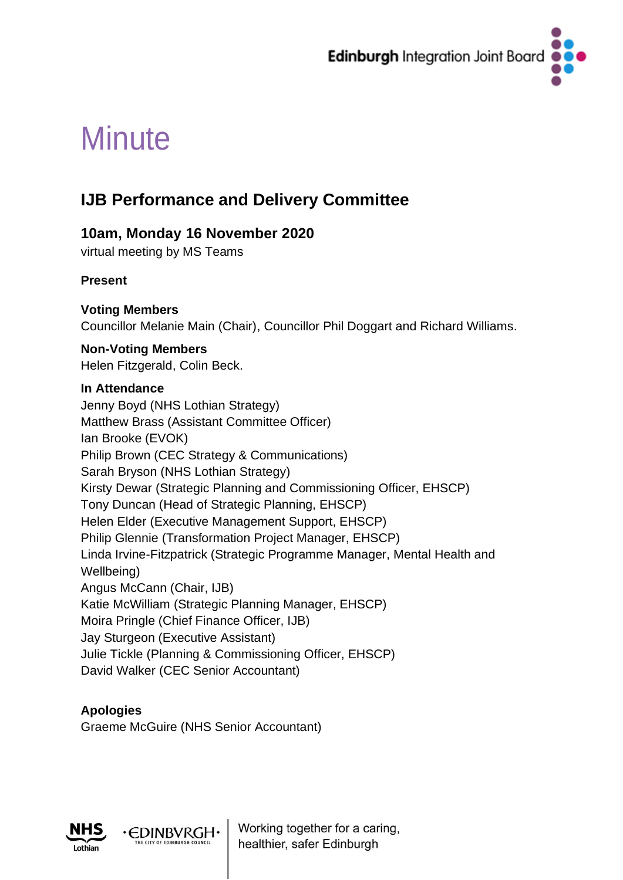

# **Minute**

# **IJB Performance and Delivery Committee**

# **10am, Monday 16 November 2020**

virtual meeting by MS Teams

# **Present**

# **Voting Members**

Councillor Melanie Main (Chair), Councillor Phil Doggart and Richard Williams.

# **Non-Voting Members**

Helen Fitzgerald, Colin Beck.

# **In Attendance**

Jenny Boyd (NHS Lothian Strategy) Matthew Brass (Assistant Committee Officer) Ian Brooke (EVOK) Philip Brown (CEC Strategy & Communications) Sarah Bryson (NHS Lothian Strategy) Kirsty Dewar (Strategic Planning and Commissioning Officer, EHSCP) Tony Duncan (Head of Strategic Planning, EHSCP) Helen Elder (Executive Management Support, EHSCP) Philip Glennie (Transformation Project Manager, EHSCP) Linda Irvine-Fitzpatrick (Strategic Programme Manager, Mental Health and Wellbeing) Angus McCann (Chair, IJB) Katie McWilliam (Strategic Planning Manager, EHSCP) Moira Pringle (Chief Finance Officer, IJB) Jay Sturgeon (Executive Assistant) Julie Tickle (Planning & Commissioning Officer, EHSCP) David Walker (CEC Senior Accountant)

# **Apologies**

Graeme McGuire (NHS Senior Accountant)

∙EDINBVRGH



Working together for a caring, healthier, safer Edinburgh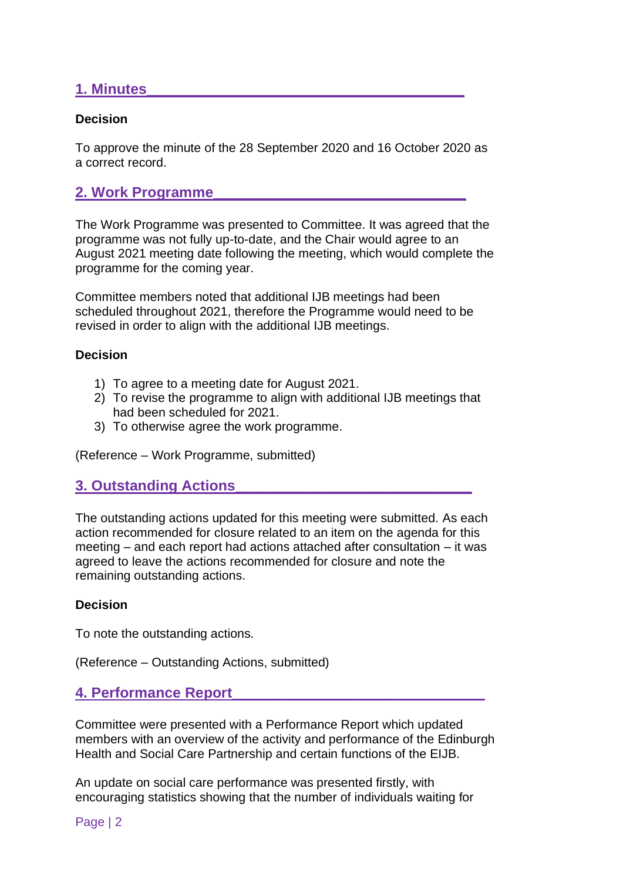# **1. Minutes\_\_\_\_\_\_\_\_\_\_\_\_\_\_\_\_\_\_\_\_\_\_\_\_\_\_\_\_\_\_\_\_\_\_\_\_\_\_\_**

#### **Decision**

To approve the minute of the 28 September 2020 and 16 October 2020 as a correct record.

# **2. Work Programme\_\_\_\_\_\_\_\_\_\_\_\_\_\_\_\_\_\_\_\_\_\_\_\_\_\_\_\_\_\_\_**

The Work Programme was presented to Committee. It was agreed that the programme was not fully up-to-date, and the Chair would agree to an August 2021 meeting date following the meeting, which would complete the programme for the coming year.

Committee members noted that additional IJB meetings had been scheduled throughout 2021, therefore the Programme would need to be revised in order to align with the additional IJB meetings.

#### **Decision**

- 1) To agree to a meeting date for August 2021.
- 2) To revise the programme to align with additional IJB meetings that had been scheduled for 2021.
- 3) To otherwise agree the work programme.

(Reference – Work Programme, submitted)

# **3. Outstanding Actions\_\_\_\_\_\_\_\_\_\_\_\_\_\_\_\_\_\_\_\_\_\_\_\_\_\_\_\_\_**

The outstanding actions updated for this meeting were submitted. As each action recommended for closure related to an item on the agenda for this meeting – and each report had actions attached after consultation – it was agreed to leave the actions recommended for closure and note the remaining outstanding actions.

#### **Decision**

To note the outstanding actions.

(Reference – Outstanding Actions, submitted)

# **4. Performance Report\_\_\_\_\_\_\_\_\_\_\_\_\_\_\_\_\_\_\_\_\_\_\_\_\_\_\_\_\_\_\_**

Committee were presented with a Performance Report which updated members with an overview of the activity and performance of the Edinburgh Health and Social Care Partnership and certain functions of the EIJB.

An update on social care performance was presented firstly, with encouraging statistics showing that the number of individuals waiting for

Page | 2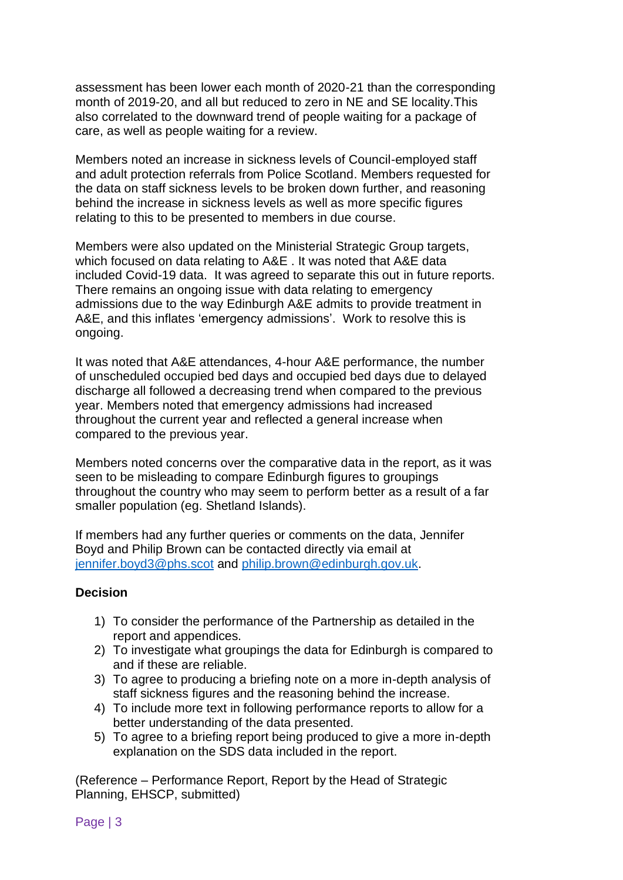assessment has been lower each month of 2020-21 than the corresponding month of 2019-20, and all but reduced to zero in NE and SE locality.This also correlated to the downward trend of people waiting for a package of care, as well as people waiting for a review.

Members noted an increase in sickness levels of Council-employed staff and adult protection referrals from Police Scotland. Members requested for the data on staff sickness levels to be broken down further, and reasoning behind the increase in sickness levels as well as more specific figures relating to this to be presented to members in due course.

Members were also updated on the Ministerial Strategic Group targets, which focused on data relating to A&E . It was noted that A&E data included Covid-19 data. It was agreed to separate this out in future reports. There remains an ongoing issue with data relating to emergency admissions due to the way Edinburgh A&E admits to provide treatment in A&E, and this inflates 'emergency admissions'. Work to resolve this is ongoing.

It was noted that A&E attendances, 4-hour A&E performance, the number of unscheduled occupied bed days and occupied bed days due to delayed discharge all followed a decreasing trend when compared to the previous year. Members noted that emergency admissions had increased throughout the current year and reflected a general increase when compared to the previous year.

Members noted concerns over the comparative data in the report, as it was seen to be misleading to compare Edinburgh figures to groupings throughout the country who may seem to perform better as a result of a far smaller population (eg. Shetland Islands).

If members had any further queries or comments on the data, Jennifer Boyd and Philip Brown can be contacted directly via email at [jennifer.boyd3@phs.scot](mailto:jennifer.boyd3@phs.scot) and [philip.brown@edinburgh.gov.uk.](mailto:philip.brown@edinburgh.gov.uk)

#### **Decision**

- 1) To consider the performance of the Partnership as detailed in the report and appendices.
- 2) To investigate what groupings the data for Edinburgh is compared to and if these are reliable.
- 3) To agree to producing a briefing note on a more in-depth analysis of staff sickness figures and the reasoning behind the increase.
- 4) To include more text in following performance reports to allow for a better understanding of the data presented.
- 5) To agree to a briefing report being produced to give a more in-depth explanation on the SDS data included in the report.

(Reference – Performance Report, Report by the Head of Strategic Planning, EHSCP, submitted)

Page | 3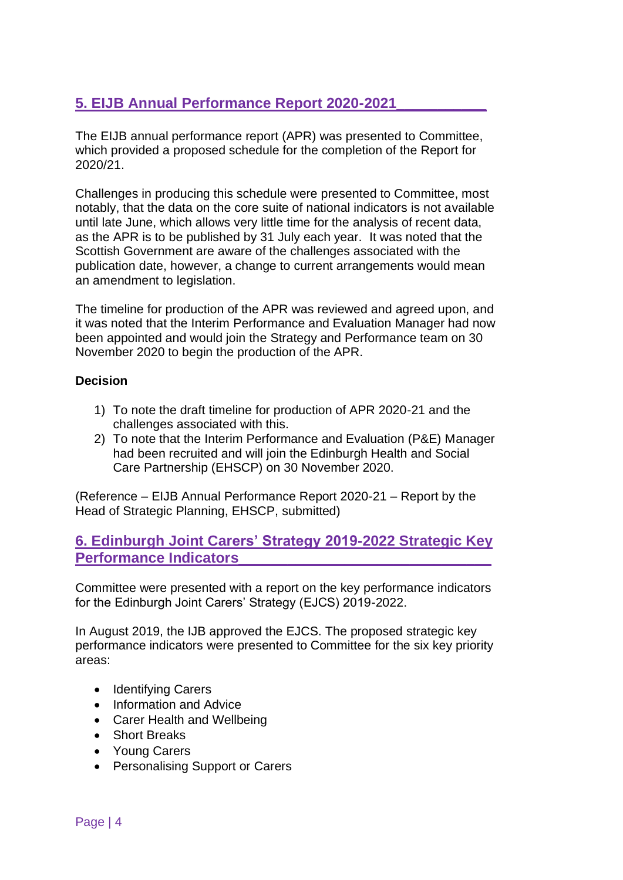# **5. EIJB Annual Performance Report 2020-2021\_\_\_\_\_\_\_\_\_\_\_**

The EIJB annual performance report (APR) was presented to Committee, which provided a proposed schedule for the completion of the Report for 2020/21.

Challenges in producing this schedule were presented to Committee, most notably, that the data on the core suite of national indicators is not available until late June, which allows very little time for the analysis of recent data, as the APR is to be published by 31 July each year. It was noted that the Scottish Government are aware of the challenges associated with the publication date, however, a change to current arrangements would mean an amendment to legislation.

The timeline for production of the APR was reviewed and agreed upon, and it was noted that the Interim Performance and Evaluation Manager had now been appointed and would join the Strategy and Performance team on 30 November 2020 to begin the production of the APR.

#### **Decision**

- 1) To note the draft timeline for production of APR 2020-21 and the challenges associated with this.
- 2) To note that the Interim Performance and Evaluation (P&E) Manager had been recruited and will join the Edinburgh Health and Social Care Partnership (EHSCP) on 30 November 2020.

(Reference – EIJB Annual Performance Report 2020-21 – Report by the Head of Strategic Planning, EHSCP, submitted)

# **6. Edinburgh Joint Carers' Strategy 2019-2022 Strategic Key Performance Indicators\_\_\_\_\_\_\_\_\_\_\_\_\_\_\_\_\_\_\_\_\_\_\_\_\_\_\_\_\_\_\_**

Committee were presented with a report on the key performance indicators for the Edinburgh Joint Carers' Strategy (EJCS) 2019-2022.

In August 2019, the IJB approved the EJCS. The proposed strategic key performance indicators were presented to Committee for the six key priority areas:

- Identifying Carers
- Information and Advice
- Carer Health and Wellbeing
- Short Breaks
- Young Carers
- Personalising Support or Carers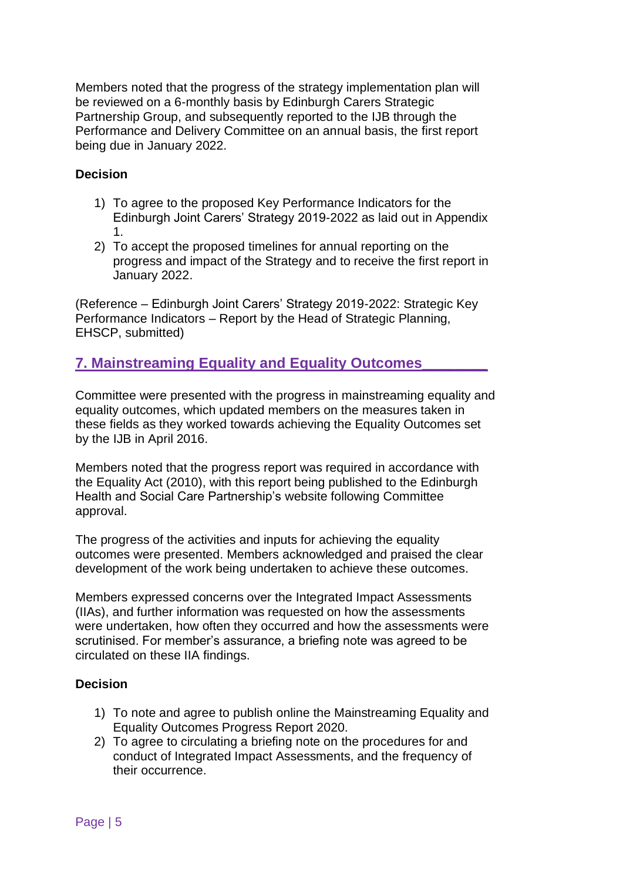Members noted that the progress of the strategy implementation plan will be reviewed on a 6-monthly basis by Edinburgh Carers Strategic Partnership Group, and subsequently reported to the IJB through the Performance and Delivery Committee on an annual basis, the first report being due in January 2022.

### **Decision**

- 1) To agree to the proposed Key Performance Indicators for the Edinburgh Joint Carers' Strategy 2019-2022 as laid out in Appendix 1.
- 2) To accept the proposed timelines for annual reporting on the progress and impact of the Strategy and to receive the first report in January 2022.

(Reference – Edinburgh Joint Carers' Strategy 2019-2022: Strategic Key Performance Indicators – Report by the Head of Strategic Planning, EHSCP, submitted)

# **7. Mainstreaming Equality and Equality Outcomes\_\_\_\_\_\_\_\_**

Committee were presented with the progress in mainstreaming equality and equality outcomes, which updated members on the measures taken in these fields as they worked towards achieving the Equality Outcomes set by the IJB in April 2016.

Members noted that the progress report was required in accordance with the Equality Act (2010), with this report being published to the Edinburgh Health and Social Care Partnership's website following Committee approval.

The progress of the activities and inputs for achieving the equality outcomes were presented. Members acknowledged and praised the clear development of the work being undertaken to achieve these outcomes.

Members expressed concerns over the Integrated Impact Assessments (IIAs), and further information was requested on how the assessments were undertaken, how often they occurred and how the assessments were scrutinised. For member's assurance, a briefing note was agreed to be circulated on these IIA findings.

#### **Decision**

- 1) To note and agree to publish online the Mainstreaming Equality and Equality Outcomes Progress Report 2020.
- 2) To agree to circulating a briefing note on the procedures for and conduct of Integrated Impact Assessments, and the frequency of their occurrence.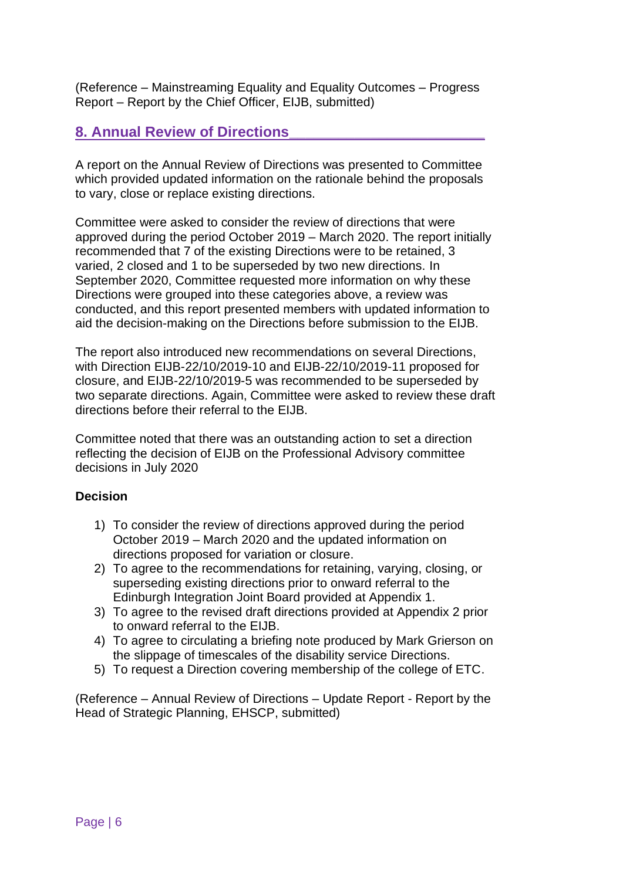(Reference – Mainstreaming Equality and Equality Outcomes – Progress Report – Report by the Chief Officer, EIJB, submitted)

# **8. Annual Review of Directions\_\_\_\_\_\_\_\_\_\_\_\_\_\_\_\_\_\_\_\_\_\_\_\_**

A report on the Annual Review of Directions was presented to Committee which provided updated information on the rationale behind the proposals to vary, close or replace existing directions.

Committee were asked to consider the review of directions that were approved during the period October 2019 – March 2020. The report initially recommended that 7 of the existing Directions were to be retained, 3 varied, 2 closed and 1 to be superseded by two new directions. In September 2020, Committee requested more information on why these Directions were grouped into these categories above, a review was conducted, and this report presented members with updated information to aid the decision-making on the Directions before submission to the EIJB.

The report also introduced new recommendations on several Directions, with Direction EIJB-22/10/2019-10 and EIJB-22/10/2019-11 proposed for closure, and EIJB-22/10/2019-5 was recommended to be superseded by two separate directions. Again, Committee were asked to review these draft directions before their referral to the EIJB.

Committee noted that there was an outstanding action to set a direction reflecting the decision of EIJB on the Professional Advisory committee decisions in July 2020

#### **Decision**

- 1) To consider the review of directions approved during the period October 2019 – March 2020 and the updated information on directions proposed for variation or closure.
- 2) To agree to the recommendations for retaining, varying, closing, or superseding existing directions prior to onward referral to the Edinburgh Integration Joint Board provided at Appendix 1.
- 3) To agree to the revised draft directions provided at Appendix 2 prior to onward referral to the EIJB.
- 4) To agree to circulating a briefing note produced by Mark Grierson on the slippage of timescales of the disability service Directions.
- 5) To request a Direction covering membership of the college of ETC.

(Reference – Annual Review of Directions – Update Report - Report by the Head of Strategic Planning, EHSCP, submitted)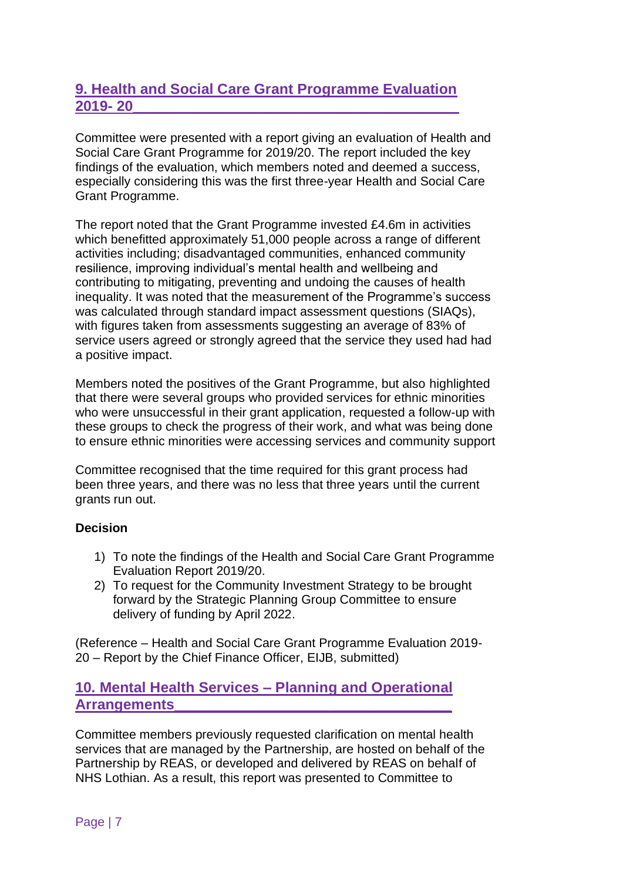# **9. Health and Social Care Grant Programme Evaluation 2019- 20\_\_\_\_\_\_\_\_\_\_\_\_\_\_\_\_\_\_\_\_\_\_\_\_\_\_\_\_\_\_\_\_\_\_\_\_\_\_\_\_**

Committee were presented with a report giving an evaluation of Health and Social Care Grant Programme for 2019/20. The report included the key findings of the evaluation, which members noted and deemed a success, especially considering this was the first three-year Health and Social Care Grant Programme.

The report noted that the Grant Programme invested £4.6m in activities which benefitted approximately 51,000 people across a range of different activities including; disadvantaged communities, enhanced community resilience, improving individual's mental health and wellbeing and contributing to mitigating, preventing and undoing the causes of health inequality. It was noted that the measurement of the Programme's success was calculated through standard impact assessment questions (SIAQs), with figures taken from assessments suggesting an average of 83% of service users agreed or strongly agreed that the service they used had had a positive impact.

Members noted the positives of the Grant Programme, but also highlighted that there were several groups who provided services for ethnic minorities who were unsuccessful in their grant application, requested a follow-up with these groups to check the progress of their work, and what was being done to ensure ethnic minorities were accessing services and community support

Committee recognised that the time required for this grant process had been three years, and there was no less that three years until the current grants run out.

# **Decision**

- 1) To note the findings of the Health and Social Care Grant Programme Evaluation Report 2019/20.
- 2) To request for the Community Investment Strategy to be brought forward by the Strategic Planning Group Committee to ensure delivery of funding by April 2022.

(Reference – Health and Social Care Grant Programme Evaluation 2019- 20 – Report by the Chief Finance Officer, EIJB, submitted)

# **10. Mental Health Services – Planning and Operational Arrangements\_\_\_\_\_\_\_\_\_\_\_\_\_\_\_\_\_\_\_\_\_\_\_\_\_\_\_\_\_\_\_\_\_\_**

Committee members previously requested clarification on mental health services that are managed by the Partnership, are hosted on behalf of the Partnership by REAS, or developed and delivered by REAS on behalf of NHS Lothian. As a result, this report was presented to Committee to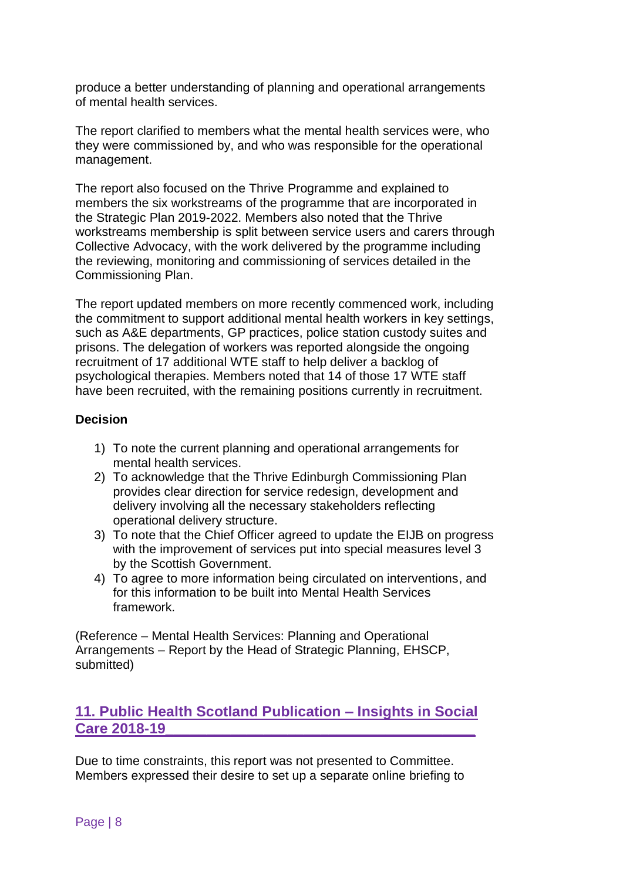produce a better understanding of planning and operational arrangements of mental health services.

The report clarified to members what the mental health services were, who they were commissioned by, and who was responsible for the operational management.

The report also focused on the Thrive Programme and explained to members the six workstreams of the programme that are incorporated in the Strategic Plan 2019-2022. Members also noted that the Thrive workstreams membership is split between service users and carers through Collective Advocacy, with the work delivered by the programme including the reviewing, monitoring and commissioning of services detailed in the Commissioning Plan.

The report updated members on more recently commenced work, including the commitment to support additional mental health workers in key settings, such as A&E departments, GP practices, police station custody suites and prisons. The delegation of workers was reported alongside the ongoing recruitment of 17 additional WTE staff to help deliver a backlog of psychological therapies. Members noted that 14 of those 17 WTE staff have been recruited, with the remaining positions currently in recruitment.

#### **Decision**

- 1) To note the current planning and operational arrangements for mental health services.
- 2) To acknowledge that the Thrive Edinburgh Commissioning Plan provides clear direction for service redesign, development and delivery involving all the necessary stakeholders reflecting operational delivery structure.
- 3) To note that the Chief Officer agreed to update the EIJB on progress with the improvement of services put into special measures level 3 by the Scottish Government.
- 4) To agree to more information being circulated on interventions, and for this information to be built into Mental Health Services framework.

(Reference – Mental Health Services: Planning and Operational Arrangements – Report by the Head of Strategic Planning, EHSCP, submitted)

# **11. Public Health Scotland Publication – Insights in Social Care 2018-19\_\_\_\_\_\_\_\_\_\_\_\_\_\_\_\_\_\_\_\_\_\_\_\_\_\_\_\_\_\_\_\_\_\_\_\_\_\_**

Due to time constraints, this report was not presented to Committee. Members expressed their desire to set up a separate online briefing to